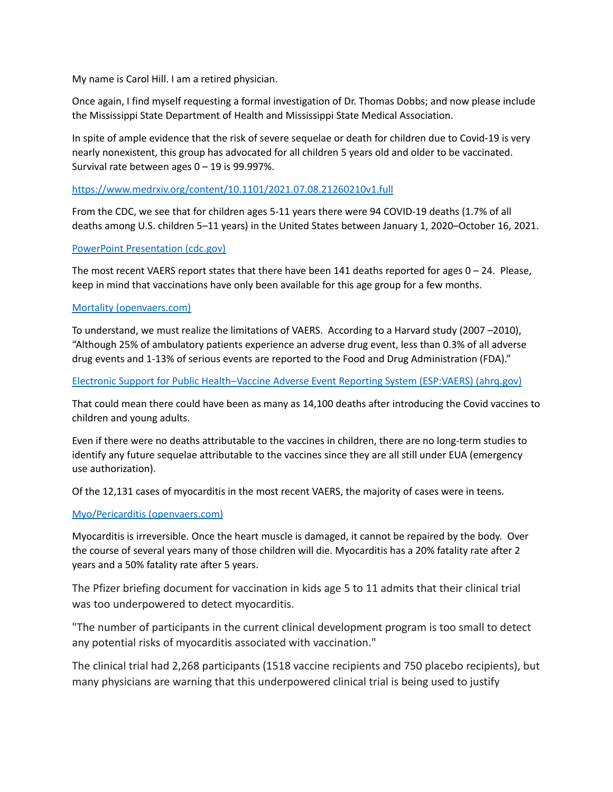My name is Carol Hill. I am a retired physician.

Once again, I find myself requesting a formal investigation of Dr. Thomas Dobbs; and now please include the Mississippi State Department of Health and Mississippi State Medical Association.

In spite of ample evidence that the risk of severe sequelae or death for children due to Covid-19 is very nearly nonexistent, this group has advocated for all children 5 years old and older to be vaccinated. Survival rate between ages  $0 - 19$  is 99.997%.

### <https://www.medrxiv.org/content/10.1101/2021.07.08.21260210v1.full>

From the CDC, we see that for children ages 5-11 years there were 94 COVID-19 deaths (1.7% of all deaths among U.S. children 5–11 years) in the United States between January 1, 2020–October 16, 2021.

### PowerPoint [Presentation](https://www.cdc.gov/vaccines/acip/meetings/downloads/slides-2021-11-2-3/03-COVID-Jefferson-508.pdf) (cdc.gov)

The most recent VAERS report states that there have been 141 deaths reported for ages  $0 - 24$ . Please, keep in mind that vaccinations have only been available for this age group for a few months.

### Mortality [\(openvaers.com\)](https://openvaers.com/covid-data/mortality)

To understand, we must realize the limitations of VAERS. According to a Harvard study (2007 –2010), "Although 25% of ambulatory patients experience an adverse drug event, less than 0.3% of all adverse drug events and 1-13% of serious events are reported to the Food and Drug Administration (FDA)."

### Electronic Support for Public [Health–Vaccine](https://digital.ahrq.gov/sites/default/files/docs/publication/r18hs017045-lazarus-final-report-2011.pdf) Adverse Event Reporting System (ESP:VAERS) (ahrq.gov)

That could mean there could have been as many as 14,100 deaths after introducing the Covid vaccines to children and young adults.

Even if there were no deaths attributable to the vaccines in children, there are no long-term studies to identify any future sequelae attributable to the vaccines since they are all still under EUA (emergency use authorization).

Of the 12,131 cases of myocarditis in the most recent VAERS, the majority of cases were in teens.

## Myo/Pericarditis [\(openvaers.com\)](https://openvaers.com/covid-data/myo-pericarditis)

Myocarditis is irreversible. Once the heart muscle is damaged, it cannot be repaired by the body. Over the course of several years many of those children will die. Myocarditis has a 20% fatality rate after 2 years and a 50% fatality rate after 5 years.

The Pfizer briefing document for vaccination in kids age 5 to 11 admits that their clinical trial was too underpowered to detect myocarditis.

"The number of participants in the current clinical development program is too small to detect any potential risks of myocarditis associated with vaccination."

The clinical trial had 2,268 participants (1518 vaccine recipients and 750 placebo recipients), but many physicians are warning that this underpowered clinical trial is being used to justify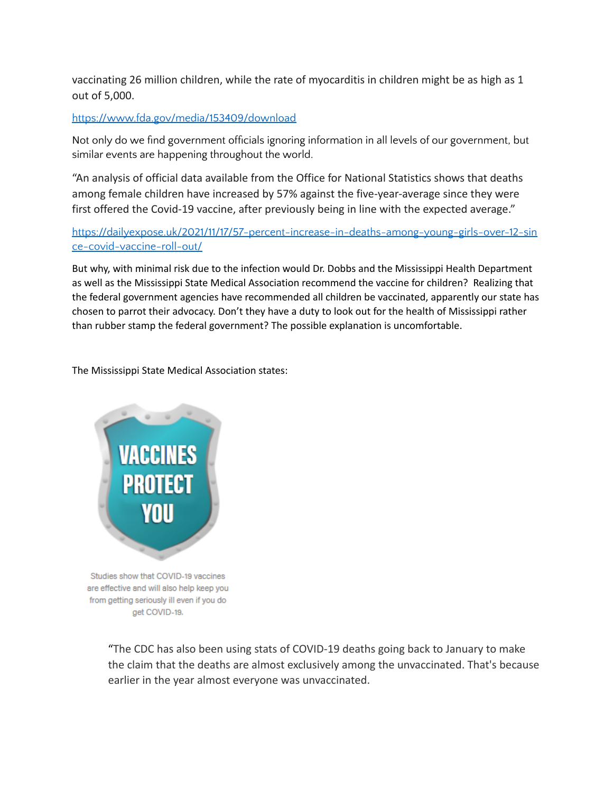vaccinating 26 million children, while the rate of myocarditis in children might be as high as 1 out of 5,000.

## <https://www.fda.gov/media/153409/download>

Not only do we find government officials ignoring information in all levels of our government, but similar events are happening throughout the world.

"An analysis of official data available from the Office for National Statistics shows that deaths among female children have increased by 57% against the five-year-average since they were first offered the Covid-19 vaccine, after previously being in line with the expected average."

# [https://dailyexpose.uk/2021/11/17/57-percent-increase-in-deaths-among-young-girls-over-12-sin](https://dailyexpose.uk/2021/11/17/57-percent-increase-in-deaths-among-young-girls-over-12-since-covid-vaccine-roll-out/) [ce-covid-vaccine-roll-out/](https://dailyexpose.uk/2021/11/17/57-percent-increase-in-deaths-among-young-girls-over-12-since-covid-vaccine-roll-out/)

But why, with minimal risk due to the infection would Dr. Dobbs and the Mississippi Health Department as well as the Mississippi State Medical Association recommend the vaccine for children? Realizing that the federal government agencies have recommended all children be vaccinated, apparently our state has chosen to parrot their advocacy. Don't they have a duty to look out for the health of Mississippi rather than rubber stamp the federal government? The possible explanation is uncomfortable.

The Mississippi State Medical Association states:



"The CDC has also been using stats of COVID-19 deaths going back to January to make the claim that the deaths are almost exclusively among the unvaccinated. That's because earlier in the year almost everyone was unvaccinated.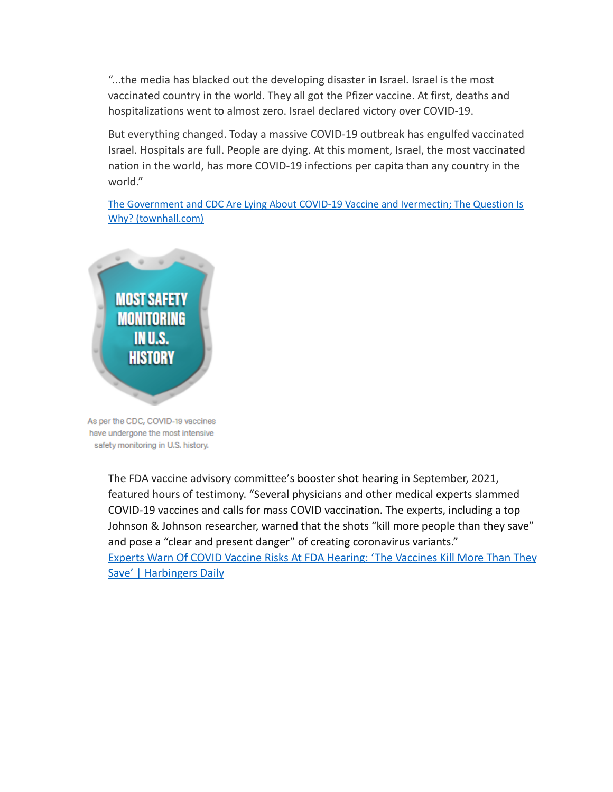"...the media has blacked out the developing disaster in Israel. Israel is the most vaccinated country in the world. They all got the Pfizer vaccine. At first, deaths and hospitalizations went to almost zero. Israel declared victory over COVID-19.

But everything changed. Today a massive COVID-19 outbreak has engulfed vaccinated Israel. Hospitals are full. People are dying. At this moment, Israel, the most vaccinated nation in the world, has more COVID-19 infections per capita than any country in the world."

The [Government](https://townhall.com/columnists/wayneallynroot/2021/09/05/the-government-and-cdc-are-lying-about-covid19-vaccine-and-ivermectin-the-question-is-why-n2595312) and CDC Are Lying About COVID-19 Vaccine and Ivermectin; The Question Is Why? [\(townhall.com\)](https://townhall.com/columnists/wayneallynroot/2021/09/05/the-government-and-cdc-are-lying-about-covid19-vaccine-and-ivermectin-the-question-is-why-n2595312)



As per the CDC, COVID-19 vaccines have undergone the most intensive safety monitoring in U.S. history.

> The FDA vaccine advisory committee's [booster shot](https://www.lifesitenews.com/news/fda-panel-overwhelmingly-rejects-pfizer-booster-for-healthy-people-16-and-older/) hearing in September, 2021, featured hours of testimony. "Several physicians and other medical experts slammed COVID-19 vaccines and calls for mass COVID vaccination. The experts, including a top Johnson & Johnson researcher, warned that the shots "kill more people than they save" and pose a "clear and present danger" of creating coronavirus variants." [Experts Warn Of COVID Vaccine Risks At FDA Hearing: 'The Vaccines Kill More Than They](https://harbingersdaily.com/experts-warn-of-covid-vaccine-risks-at-fda-hearing-the-vaccines-kill-more-than-they-save/?fbclid=IwAR1K3eGtqjY-ncG_63chktXy02Vd2SVAF6mLpa7votVxPSBObSYz_WKEXLw) [Save' | Harbingers Daily](https://harbingersdaily.com/experts-warn-of-covid-vaccine-risks-at-fda-hearing-the-vaccines-kill-more-than-they-save/?fbclid=IwAR1K3eGtqjY-ncG_63chktXy02Vd2SVAF6mLpa7votVxPSBObSYz_WKEXLw)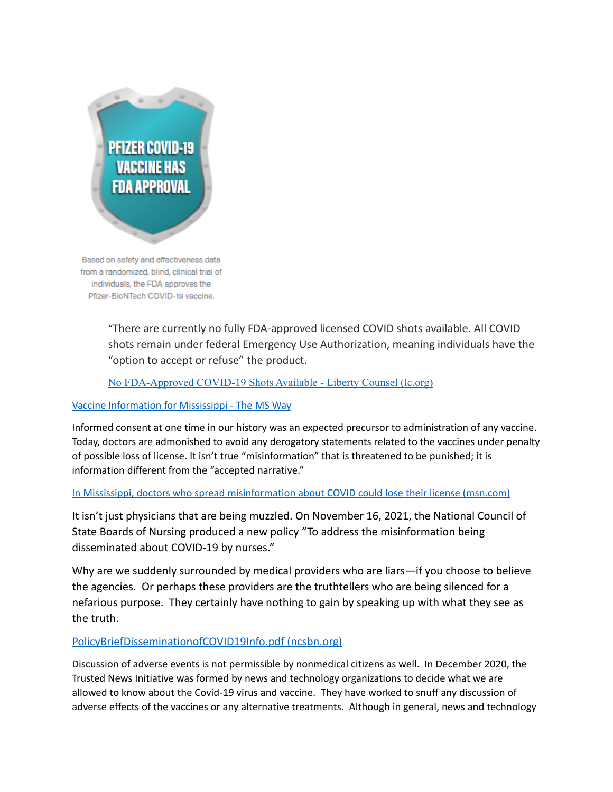

Based on safety and effectiveness data from a randomized, blind, clinical trial of individuals, the FDA approves the Pfizer-BioNTech COVID-19 vaccine.

> "There are currently no fully FDA-approved licensed COVID shots available. All COVID shots remain under federal Emergency Use Authorization, meaning individuals have the "option to accept or refuse" the product.

No [FDA-Approved](https://lc.org/newsroom/details/100821-no-fdaapproved-covid19-shots-available) COVID-19 Shots Available - Liberty Counsel (lc.org)

## Vaccine [Information](https://themsway.com/) for Mississippi - The MS Way

Informed consent at one time in our history was an expected precursor to administration of any vaccine. Today, doctors are admonished to avoid any derogatory statements related to the vaccines under penalty of possible loss of license. It isn't true "misinformation" that is threatened to be punished; it is information different from the "accepted narrative."

## In Mississippi, doctors who spread [misinformation](https://www.msn.com/en-us/health/medical/physicians-who-spread-misinformation-about-covid-could-lose-license-board-says/ar-AAOjavh) about COVID could lose their license (msn.com)

It isn't just physicians that are being muzzled. On November 16, 2021, the National Council of State Boards of Nursing produced a new policy "To address the misinformation being disseminated about COVID-19 by nurses."

Why are we suddenly surrounded by medical providers who are liars—if you choose to believe the agencies. Or perhaps these providers are the truthtellers who are being silenced for a nefarious purpose. They certainly have nothing to gain by speaking up with what they see as the truth.

## [PolicyBriefDisseminationofCOVID19Info.pdf \(ncsbn.org\)](https://www.ncsbn.org/PolicyBriefDisseminationofCOVID19Info.pdf)

Discussion of adverse events is not permissible by nonmedical citizens as well. In December 2020, the Trusted News Initiative was formed by news and technology organizations to decide what we are allowed to know about the Covid-19 virus and vaccine. They have worked to snuff any discussion of adverse effects of the vaccines or any alternative treatments. Although in general, news and technology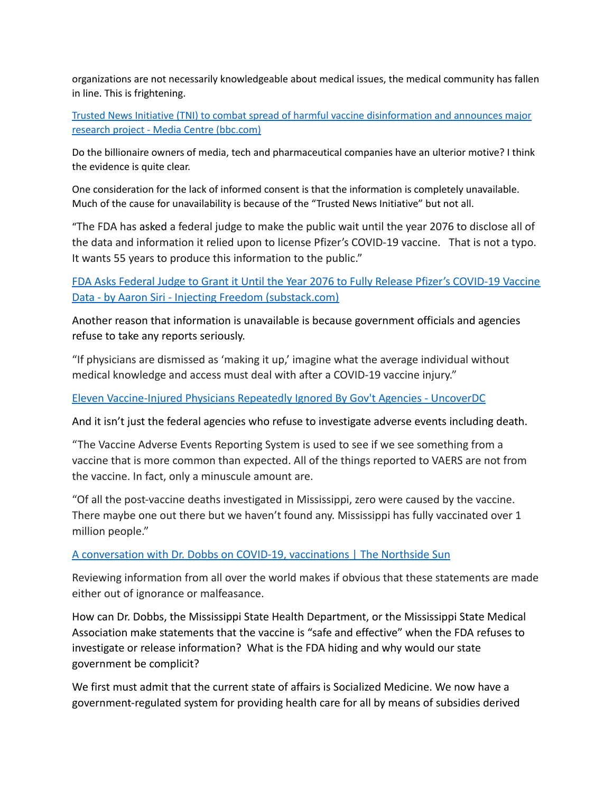organizations are not necessarily knowledgeable about medical issues, the medical community has fallen in line. This is frightening.

Trusted News Initiative (TNI) to combat spread of harmful vaccine [disinformation](https://www.bbc.com/mediacentre/2020/trusted-news-initiative-vaccine-disinformation) and announces major research project - Media Centre [\(bbc.com\)](https://www.bbc.com/mediacentre/2020/trusted-news-initiative-vaccine-disinformation)

Do the billionaire owners of media, tech and pharmaceutical companies have an ulterior motive? I think the evidence is quite clear.

One consideration for the lack of informed consent is that the information is completely unavailable. Much of the cause for unavailability is because of the "Trusted News Initiative" but not all.

"The FDA has [asked](https://www.sirillp.com/wp-content/uploads/2021/11/020-Second-Joint-Status-Report-8989f1fed17e2d919391d8df1978006e.pdf) a federal judge to make the public wait until the year 2076 to disclose all of the data and information it relied upon to license Pfizer's COVID-19 vaccine. That is not a typo. It wants 55 years to produce this information to the public."

[FDA Asks Federal Judge to Grant it Until the Year 2076 to Fully Release Pfizer's COVID-19 Vaccine](https://aaronsiri.substack.com/p/fda-asks-federal-judge-to-grant-it?fbclid=IwAR3SR1aMQl1xBK_rO6lWmBbPVHcd6QQZgi0gOxlsyGucTbFbz0FF6fF1RT8) [Data - by Aaron Siri - Injecting Freedom \(substack.com\)](https://aaronsiri.substack.com/p/fda-asks-federal-judge-to-grant-it?fbclid=IwAR3SR1aMQl1xBK_rO6lWmBbPVHcd6QQZgi0gOxlsyGucTbFbz0FF6fF1RT8)

Another reason that information is unavailable is because government officials and agencies refuse to take any reports seriously.

"If physicians are dismissed as 'making it up,' imagine what the average individual without medical knowledge and access must deal with after a COVID-19 vaccine injury."

[Eleven Vaccine-Injured Physicians Repeatedly Ignored By Gov't Agencies - UncoverDC](https://uncoverdc.com/2021/11/11/eleven-vaccine-injured-physicians-repeatedly-ignored-by-govt-agencies/)

And it isn't just the federal agencies who refuse to investigate adverse events including death.

"The Vaccine Adverse Events Reporting System is used to see if we see something from a vaccine that is more common than expected. All of the things reported to VAERS are not from the vaccine. In fact, only a minuscule amount are.

"Of all the post-vaccine deaths investigated in Mississippi, zero were caused by the vaccine. There maybe one out there but we haven't found any. Mississippi has fully vaccinated over 1 million people."

# [A conversation with Dr. Dobbs on COVID-19, vaccinations | The Northside Sun](https://www.northsidesun.com/local-news-top-stories/conversation-dr-dobbs-covid-19-vaccinations#sthash.9MOaUaCx.qrmVaEQg.dpbs)

Reviewing information from all over the world makes if obvious that these statements are made either out of ignorance or malfeasance.

How can Dr. Dobbs, the Mississippi State Health Department, or the Mississippi State Medical Association make statements that the vaccine is "safe and effective" when the FDA refuses to investigate or release information? What is the FDA hiding and why would our state government be complicit?

We first must admit that the current state of affairs is Socialized Medicine. We now have a government-regulated system for providing health care for all by means of subsidies derived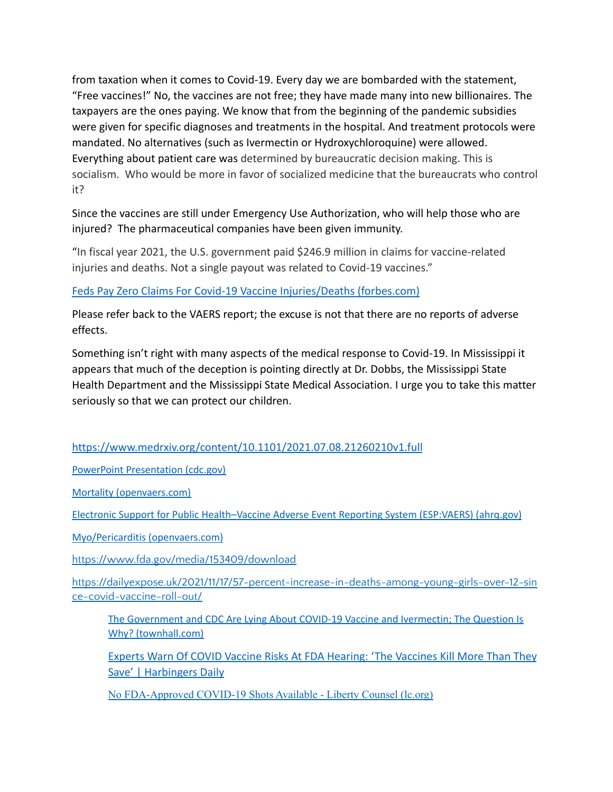from taxation when it comes to Covid-19. Every day we are bombarded with the statement, "Free vaccines!" No, the vaccines are not free; they have made many into new billionaires. The taxpayers are the ones paying. We know that from the beginning of the pandemic subsidies were given for specific diagnoses and treatments in the hospital. And treatment protocols were mandated. No alternatives (such as Ivermectin or Hydroxychloroquine) were allowed. Everything about patient care was determined by bureaucratic decision making. This is socialism. Who would be more in favor of socialized medicine that the bureaucrats who control it?

Since the vaccines are still under Emergency Use Authorization, who will help those who are injured? The pharmaceutical companies have been given immunity.

"In fiscal year 2021, the U.S. government paid \$246.9 million in claims for vaccine-related injuries and deaths. Not a single payout was related to Covid-19 vaccines."

[Feds Pay Zero Claims For Covid-19 Vaccine Injuries/Deaths \(forbes.com\)](https://www.forbes.com/sites/adamandrzejewski/2021/11/04/feds-pay-zero-claims-for-covid-19-vaccine-injuriesdeaths/?sh=28e522694a87)

Please refer back to the VAERS report; the excuse is not that there are no reports of adverse effects.

Something isn't right with many aspects of the medical response to Covid-19. In Mississippi it appears that much of the deception is pointing directly at Dr. Dobbs, the Mississippi State Health Department and the Mississippi State Medical Association. I urge you to take this matter seriously so that we can protect our children.

<https://www.medrxiv.org/content/10.1101/2021.07.08.21260210v1.full>

PowerPoint [Presentation](https://www.cdc.gov/vaccines/acip/meetings/downloads/slides-2021-11-2-3/03-COVID-Jefferson-508.pdf) (cdc.gov)

Mortality [\(openvaers.com\)](https://openvaers.com/covid-data/mortality)

Electronic Support for Public [Health–Vaccine](https://digital.ahrq.gov/sites/default/files/docs/publication/r18hs017045-lazarus-final-report-2011.pdf) Adverse Event Reporting System (ESP:VAERS) (ahrq.gov)

Myo/Pericarditis [\(openvaers.com\)](https://openvaers.com/covid-data/myo-pericarditis)

<https://www.fda.gov/media/153409/download>

[https://dailyexpose.uk/2021/11/17/57-percent-increase-in-deaths-among-young-girls-over-12-sin](https://dailyexpose.uk/2021/11/17/57-percent-increase-in-deaths-among-young-girls-over-12-since-covid-vaccine-roll-out/) [ce-covid-vaccine-roll-out/](https://dailyexpose.uk/2021/11/17/57-percent-increase-in-deaths-among-young-girls-over-12-since-covid-vaccine-roll-out/)

The [Government](https://townhall.com/columnists/wayneallynroot/2021/09/05/the-government-and-cdc-are-lying-about-covid19-vaccine-and-ivermectin-the-question-is-why-n2595312) and CDC Are Lying About COVID-19 Vaccine and Ivermectin; The Question Is Why? [\(townhall.com\)](https://townhall.com/columnists/wayneallynroot/2021/09/05/the-government-and-cdc-are-lying-about-covid19-vaccine-and-ivermectin-the-question-is-why-n2595312)

[Experts Warn Of COVID Vaccine Risks At FDA Hearing: 'The Vaccines Kill More Than They](https://harbingersdaily.com/experts-warn-of-covid-vaccine-risks-at-fda-hearing-the-vaccines-kill-more-than-they-save/?fbclid=IwAR1K3eGtqjY-ncG_63chktXy02Vd2SVAF6mLpa7votVxPSBObSYz_WKEXLw) [Save' | Harbingers Daily](https://harbingersdaily.com/experts-warn-of-covid-vaccine-risks-at-fda-hearing-the-vaccines-kill-more-than-they-save/?fbclid=IwAR1K3eGtqjY-ncG_63chktXy02Vd2SVAF6mLpa7votVxPSBObSYz_WKEXLw)

No [FDA-Approved](https://lc.org/newsroom/details/100821-no-fdaapproved-covid19-shots-available) COVID-19 Shots Available - Liberty Counsel (lc.org)